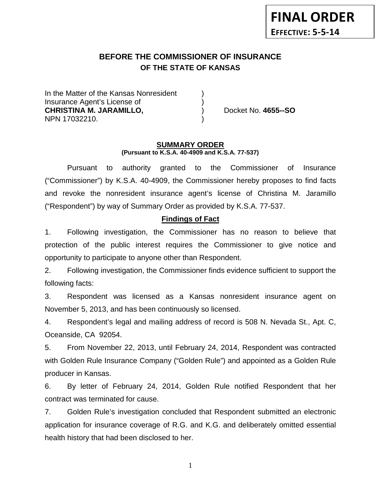# **BEFORE THE COMMISSIONER OF INSURANCE OF THE STATE OF KANSAS**

In the Matter of the Kansas Nonresident Insurance Agent's License of ) **CHRISTINA M. JARAMILLO,** ) Docket No. **4655--SO** NPN 17032210. )

#### **SUMMARY ORDER (Pursuant to K.S.A. 40-4909 and K.S.A. 77-537)**

Pursuant to authority granted to the Commissioner of Insurance ("Commissioner") by K.S.A. 40-4909, the Commissioner hereby proposes to find facts and revoke the nonresident insurance agent's license of Christina M. Jaramillo ("Respondent") by way of Summary Order as provided by K.S.A. 77-537.

## **Findings of Fact**

1. Following investigation, the Commissioner has no reason to believe that protection of the public interest requires the Commissioner to give notice and opportunity to participate to anyone other than Respondent.

2. Following investigation, the Commissioner finds evidence sufficient to support the following facts:

3. Respondent was licensed as a Kansas nonresident insurance agent on November 5, 2013, and has been continuously so licensed.

4. Respondent's legal and mailing address of record is 508 N. Nevada St., Apt. C, Oceanside, CA 92054.

5. From November 22, 2013, until February 24, 2014, Respondent was contracted with Golden Rule Insurance Company ("Golden Rule") and appointed as a Golden Rule producer in Kansas.

6. By letter of February 24, 2014, Golden Rule notified Respondent that her contract was terminated for cause.

7. Golden Rule's investigation concluded that Respondent submitted an electronic application for insurance coverage of R.G. and K.G. and deliberately omitted essential health history that had been disclosed to her.

1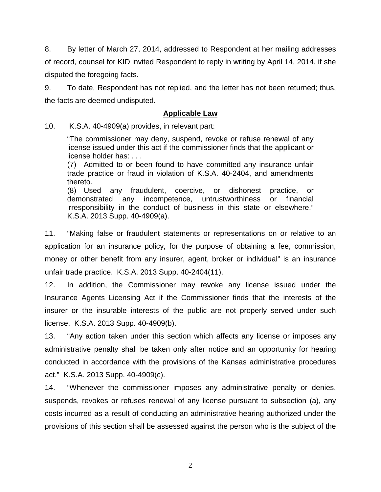8. By letter of March 27, 2014, addressed to Respondent at her mailing addresses of record, counsel for KID invited Respondent to reply in writing by April 14, 2014, if she disputed the foregoing facts.

9. To date, Respondent has not replied, and the letter has not been returned; thus, the facts are deemed undisputed.

### **Applicable Law**

10. K.S.A. 40-4909(a) provides, in relevant part:

"The commissioner may deny, suspend, revoke or refuse renewal of any license issued under this act if the commissioner finds that the applicant or license holder has: . . .

(7) Admitted to or been found to have committed any insurance unfair trade practice or fraud in violation of K.S.A. 40-2404, and amendments thereto.

(8) Used any fraudulent, coercive, or dishonest practice, or demonstrated any incompetence, untrustworthiness or financial irresponsibility in the conduct of business in this state or elsewhere." K.S.A. 2013 Supp. 40-4909(a).

11. "Making false or fraudulent statements or representations on or relative to an application for an insurance policy, for the purpose of obtaining a fee, commission, money or other benefit from any insurer, agent, broker or individual" is an insurance unfair trade practice. K.S.A. 2013 Supp. 40-2404(11).

12. In addition, the Commissioner may revoke any license issued under the Insurance Agents Licensing Act if the Commissioner finds that the interests of the insurer or the insurable interests of the public are not properly served under such license. K.S.A. 2013 Supp. 40-4909(b).

13. "Any action taken under this section which affects any license or imposes any administrative penalty shall be taken only after notice and an opportunity for hearing conducted in accordance with the provisions of the Kansas administrative procedures act." K.S.A. 2013 Supp. 40-4909(c).

14. "Whenever the commissioner imposes any administrative penalty or denies, suspends, revokes or refuses renewal of any license pursuant to subsection (a), any costs incurred as a result of conducting an administrative hearing authorized under the provisions of this section shall be assessed against the person who is the subject of the

2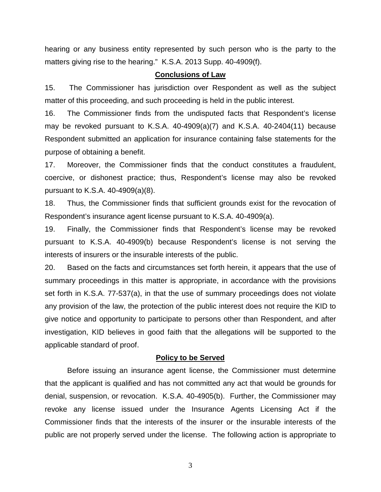hearing or any business entity represented by such person who is the party to the matters giving rise to the hearing." K.S.A. 2013 Supp. 40-4909(f).

#### **Conclusions of Law**

15. The Commissioner has jurisdiction over Respondent as well as the subject matter of this proceeding, and such proceeding is held in the public interest.

16. The Commissioner finds from the undisputed facts that Respondent's license may be revoked pursuant to K.S.A. 40-4909(a)(7) and K.S.A. 40-2404(11) because Respondent submitted an application for insurance containing false statements for the purpose of obtaining a benefit.

17. Moreover, the Commissioner finds that the conduct constitutes a fraudulent, coercive, or dishonest practice; thus, Respondent's license may also be revoked pursuant to K.S.A. 40-4909(a)(8).

18. Thus, the Commissioner finds that sufficient grounds exist for the revocation of Respondent's insurance agent license pursuant to K.S.A. 40-4909(a).

19. Finally, the Commissioner finds that Respondent's license may be revoked pursuant to K.S.A. 40-4909(b) because Respondent's license is not serving the interests of insurers or the insurable interests of the public.

20. Based on the facts and circumstances set forth herein, it appears that the use of summary proceedings in this matter is appropriate, in accordance with the provisions set forth in K.S.A. 77-537(a), in that the use of summary proceedings does not violate any provision of the law, the protection of the public interest does not require the KID to give notice and opportunity to participate to persons other than Respondent, and after investigation, KID believes in good faith that the allegations will be supported to the applicable standard of proof.

#### **Policy to be Served**

Before issuing an insurance agent license, the Commissioner must determine that the applicant is qualified and has not committed any act that would be grounds for denial, suspension, or revocation. K.S.A. 40-4905(b). Further, the Commissioner may revoke any license issued under the Insurance Agents Licensing Act if the Commissioner finds that the interests of the insurer or the insurable interests of the public are not properly served under the license. The following action is appropriate to

3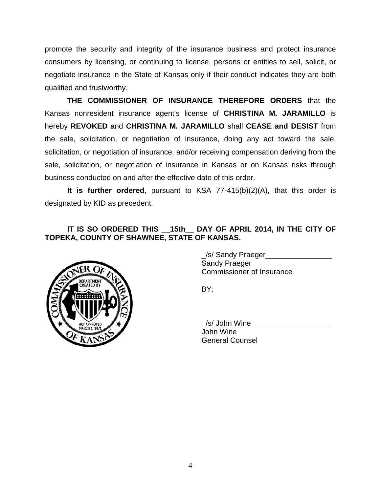promote the security and integrity of the insurance business and protect insurance consumers by licensing, or continuing to license, persons or entities to sell, solicit, or negotiate insurance in the State of Kansas only if their conduct indicates they are both qualified and trustworthy.

**THE COMMISSIONER OF INSURANCE THEREFORE ORDERS** that the Kansas nonresident insurance agent's license of **CHRISTINA M. JARAMILLO** is hereby **REVOKED** and **CHRISTINA M. JARAMILLO** shall **CEASE and DESIST** from the sale, solicitation, or negotiation of insurance, doing any act toward the sale, solicitation, or negotiation of insurance, and/or receiving compensation deriving from the sale, solicitation, or negotiation of insurance in Kansas or on Kansas risks through business conducted on and after the effective date of this order.

**It is further ordered**, pursuant to KSA 77-415(b)(2)(A), that this order is designated by KID as precedent.

## **IT IS SO ORDERED THIS \_\_15th\_\_ DAY OF APRIL 2014, IN THE CITY OF TOPEKA, COUNTY OF SHAWNEE, STATE OF KANSAS.**



\_/s/ Sandy Praeger\_\_\_\_\_\_\_\_\_\_\_\_\_\_\_\_ Sandy Praeger Commissioner of Insurance

BY:

\_/s/ John Wine\_\_\_\_\_\_\_\_\_\_\_\_\_\_\_\_\_\_\_ John Wine General Counsel